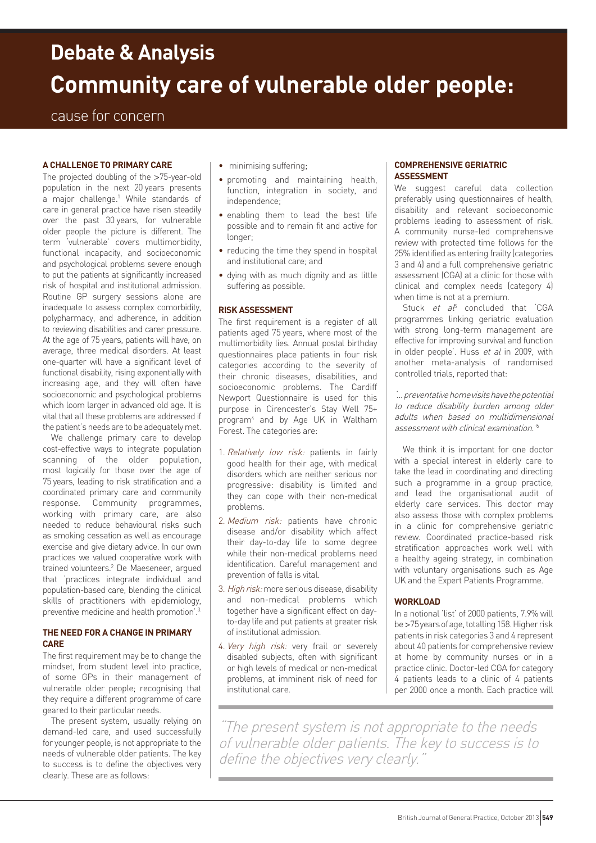# **Community care of vulnerable older people: Debate & Analysis**

## cause for concern

## **A challenge to primary care**

The projected doubling of the >75-year-old population in the next 20 years presents a major challenge.<sup>1</sup> While standards of care in general practice have risen steadily over the past 30 years, for vulnerable older people the picture is different. The term 'vulnerable' covers multimorbidity, functional incapacity, and socioeconomic and psychological problems severe enough to put the patients at significantly increased risk of hospital and institutional admission. Routine GP surgery sessions alone are inadequate to assess complex comorbidity, polypharmacy, and adherence, in addition to reviewing disabilities and carer pressure. At the age of 75 years, patients will have, on average, three medical disorders. At least one-quarter will have a significant level of functional disability, rising exponentially with increasing age, and they will often have socioeconomic and psychological problems which loom larger in advanced old age. It is vital that all these problems are addressed if the patient's needs are to be adequately met.

We challenge primary care to develop cost-effective ways to integrate population scanning of the older population, most logically for those over the age of 75 years, leading to risk stratification and a coordinated primary care and community response. Community programmes, working with primary care, are also needed to reduce behavioural risks such as smoking cessation as well as encourage exercise and give dietary advice. In our own practices we valued cooperative work with trained volunteers.2 De Maeseneer, argued that 'practices integrate individual and population-based care, blending the clinical skills of practitioners with epidemiology, preventive medicine and health promotion'.<sup>3</sup>

## **The need for a change in primary care**

The first requirement may be to change the mindset, from student level into practice, of some GPs in their management of vulnerable older people; recognising that they require a different programme of care geared to their particular needs.

The present system, usually relying on demand-led care, and used successfully for younger people, is not appropriate to the needs of vulnerable older patients. The key to success is to define the objectives very clearly. These are as follows:

- minimising suffering;
- promoting and maintaining health, function, integration in society, and independence;
- enabling them to lead the best life possible and to remain fit and active for longer;
- reducing the time they spend in hospital and institutional care; and
- dying with as much dignity and as little suffering as possible.

#### **Risk assessment**

The first requirement is a register of all patients aged 75 years, where most of the multimorbidity lies. Annual postal birthday questionnaires place patients in four risk categories according to the severity of their chronic diseases, disabilities, and socioeconomic problems. The Cardiff Newport Questionnaire is used for this purpose in Cirencester's Stay Well 75+ program4 and by Age UK in Waltham Forest. The categories are:

- 1. Relatively low risk: patients in fairly good health for their age, with medical disorders which are neither serious nor progressive: disability is limited and they can cope with their non-medical problems.
- 2. Medium risk: patients have chronic disease and/or disability which affect their day-to-day life to some degree while their non-medical problems need identification. Careful management and prevention of falls is vital.
- 3. High risk: more serious disease, disability and non-medical problems which together have a significant effect on dayto-day life and put patients at greater risk of institutional admission.
- 4. Very high risk: very frail or severely disabled subjects, often with significant or high levels of medical or non-medical problems, at imminent risk of need for institutional care.

### **Comprehensive Geriatric Assessment**

We suggest careful data collection preferably using questionnaires of health, disability and relevant socioeconomic problems leading to assessment of risk. A community nurse-led comprehensive review with protected time follows for the 25% identified as entering frailty (categories 3 and 4) and a full comprehensive geriatric assessment (CGA) at a clinic for those with clinical and complex needs (category 4) when time is not at a premium.

Stuck  $et$   $a<sup>f</sup>$  concluded that 'CGA programmes linking geriatric evaluation with strong long-term management are effective for improving survival and function in older people'. Huss et al in 2009, with another meta-analysis of randomised controlled trials, reported that:

'... preventative home visits have the potential to reduce disability burden among older adults when based on multidimensional assessment with clinical examination.'6

We think it is important for one doctor with a special interest in elderly care to take the lead in coordinating and directing such a programme in a group practice, and lead the organisational audit of elderly care services. This doctor may also assess those with complex problems in a clinic for comprehensive geriatric review. Coordinated practice-based risk stratification approaches work well with a healthy ageing strategy, in combination with voluntary organisations such as Age UK and the Expert Patients Programme.

#### **Workload**

In a notional 'list' of 2000 patients, 7.9% will be >75 years of age, totalling 158. Higher risk patients in risk categories 3 and 4 represent about 40 patients for comprehensive review at home by community nurses or in a practice clinic. Doctor-led CGA for category 4 patients leads to a clinic of 4 patients per 2000 once a month. Each practice will

"The present system is not appropriate to the needs of vulnerable older patients. The key to success is to define the objectives very clearly.'